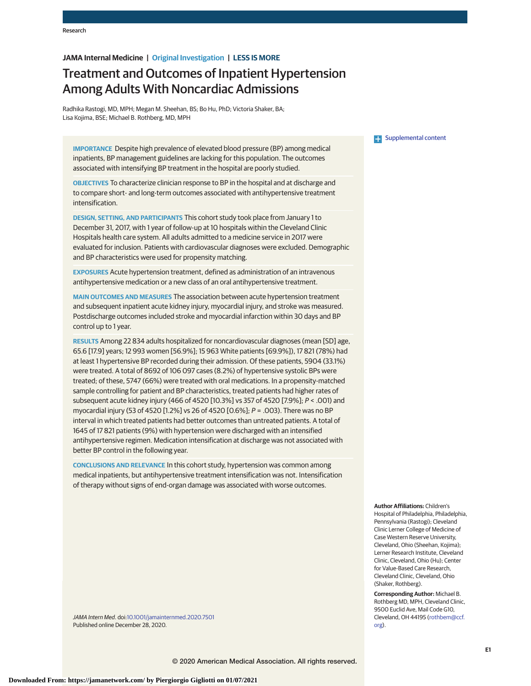# **JAMA Internal Medicine | Original Investigation | LESS IS MORE**

# Treatment and Outcomes of Inpatient Hypertension Among Adults With Noncardiac Admissions

Radhika Rastogi, MD, MPH; Megan M. Sheehan, BS; Bo Hu, PhD; Victoria Shaker, BA; Lisa Kojima, BSE; Michael B. Rothberg, MD, MPH

**IMPORTANCE** Despite high prevalence of elevated blood pressure (BP) among medical inpatients, BP management guidelines are lacking for this population. The outcomes associated with intensifying BP treatment in the hospital are poorly studied.

**OBJECTIVES** To characterize clinician response to BP in the hospital and at discharge and to compare short- and long-term outcomes associated with antihypertensive treatment intensification.

**DESIGN, SETTING, AND PARTICIPANTS** This cohort study took place from January 1 to December 31, 2017, with 1 year of follow-up at 10 hospitals within the Cleveland Clinic Hospitals health care system. All adults admitted to a medicine service in 2017 were evaluated for inclusion. Patients with cardiovascular diagnoses were excluded. Demographic and BP characteristics were used for propensity matching.

**EXPOSURES** Acute hypertension treatment, defined as administration of an intravenous antihypertensive medication or a new class of an oral antihypertensive treatment.

**MAIN OUTCOMES AND MEASURES** The association between acute hypertension treatment and subsequent inpatient acute kidney injury, myocardial injury, and stroke was measured. Postdischarge outcomes included stroke and myocardial infarction within 30 days and BP control up to 1 year.

**RESULTS** Among 22 834 adults hospitalized for noncardiovascular diagnoses (mean [SD] age, 65.6 [17.9] years; 12 993 women [56.9%]; 15 963 White patients [69.9%]), 17 821 (78%) had at least 1 hypertensive BP recorded during their admission. Of these patients, 5904 (33.1%) were treated. A total of 8692 of 106 097 cases (8.2%) of hypertensive systolic BPs were treated; of these, 5747 (66%) were treated with oral medications. In a propensity-matched sample controlling for patient and BP characteristics, treated patients had higher rates of subsequent acute kidney injury (466 of 4520 [10.3%] vs 357 of 4520 [7.9%]; P < .001) and myocardial injury (53 of 4520 [1.2%] vs 26 of 4520 [0.6%]; P = .003). There was no BP interval in which treated patients had better outcomes than untreated patients. A total of 1645 of 17 821 patients (9%) with hypertension were discharged with an intensified antihypertensive regimen. Medication intensification at discharge was not associated with better BP control in the following year.

**CONCLUSIONS AND RELEVANCE** In this cohort study, hypertension was common among medical inpatients, but antihypertensive treatment intensification was not. Intensification of therapy without signs of end-organ damage was associated with worse outcomes.

JAMA Intern Med. doi[:10.1001/jamainternmed.2020.7501](https://jamanetwork.com/journals/jama/fullarticle/10.1001/jamainternmed.2020.7501?utm_campaign=articlePDF%26utm_medium=articlePDFlink%26utm_source=articlePDF%26utm_content=jamainternmed.2020.7501) Published online December 28, 2020.

# **Examplemental content**

**Author Affiliations:** Children's Hospital of Philadelphia, Philadelphia, Pennsylvania (Rastogi); Cleveland Clinic Lerner College of Medicine of Case Western Reserve University, Cleveland, Ohio (Sheehan, Kojima); Lerner Research Institute, Cleveland Clinic, Cleveland, Ohio (Hu); Center for Value-Based Care Research, Cleveland Clinic, Cleveland, Ohio (Shaker, Rothberg).

**Corresponding Author:** Michael B. Rothberg MD, MPH, Cleveland Clinic, 9500 Euclid Ave, Mail Code G10, Cleveland, OH 44195 [\(rothbem@ccf.](mailto:rothbem@ccf.org) [org\)](mailto:rothbem@ccf.org).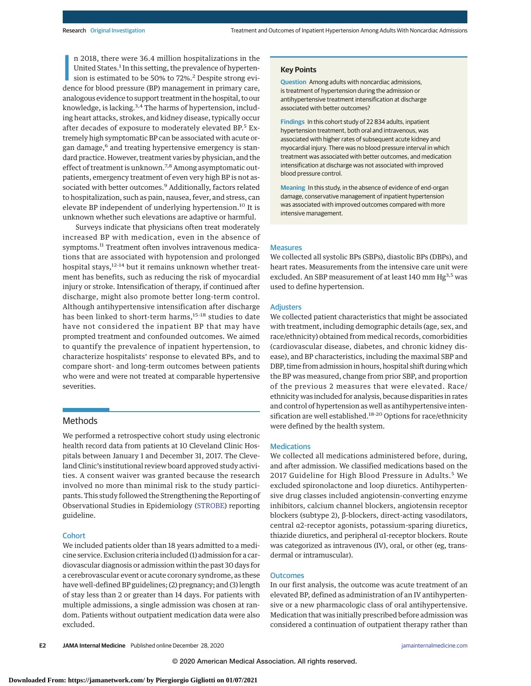n 2018, there were 36.4 million hospitalizations in the United States.<sup>1</sup> In this setting, the prevalence of hypertension is estimated to be 50% to 72%.<sup>2</sup> Despite strong evidence for blood pressure (BP) management in prim n 2018, there were 36.4 million hospitalizations in the United States.<sup>1</sup> In this setting, the prevalence of hypertension is estimated to be 50% to 72%.<sup>2</sup> Despite strong evianalogous evidence to support treatment in the hospital, to our knowledge, is lacking.<sup>3,4</sup> The harms of hypertension, including heart attacks, strokes, and kidney disease, typically occur after decades of exposure to moderately elevated BP.<sup>5</sup> Extremely high symptomatic BP can be associated with acute organ damage,<sup>6</sup> and treating hypertensive emergency is standard practice. However, treatment varies by physician, and the effect of treatment is unknown.<sup>7,8</sup> Among asymptomatic outpatients, emergency treatment of even very high BP is not associated with better outcomes.<sup>9</sup> Additionally, factors related to hospitalization, such as pain, nausea, fever, and stress, can elevate BP independent of underlying hypertension.<sup>10</sup> It is unknown whether such elevations are adaptive or harmful.

Surveys indicate that physicians often treat moderately increased BP with medication, even in the absence of symptoms.<sup>11</sup> Treatment often involves intravenous medications that are associated with hypotension and prolonged hospital stays,<sup>12-14</sup> but it remains unknown whether treatment has benefits, such as reducing the risk of myocardial injury or stroke. Intensification of therapy, if continued after discharge, might also promote better long-term control. Although antihypertensive intensification after discharge has been linked to short-term harms,<sup>15-18</sup> studies to date have not considered the inpatient BP that may have prompted treatment and confounded outcomes. We aimed to quantify the prevalence of inpatient hypertension, to characterize hospitalists' response to elevated BPs, and to compare short- and long-term outcomes between patients who were and were not treated at comparable hypertensive severities.

# Methods

We performed a retrospective cohort study using electronic health record data from patients at 10 Cleveland Clinic Hospitals between January 1 and December 31, 2017. The Cleveland Clinic's institutional review board approved study activities. A consent waiver was granted because the research involved no more than minimal risk to the study participants. This study followed the Strengthening the Reporting of Observational Studies in Epidemiology [\(STROBE\)](https://www.equator-network.org/reporting-guidelines/strobe/) reporting guideline.

## **Cohort**

We included patients older than 18 years admitted to a medicine service. Exclusion criteria included (1) admission for a cardiovascular diagnosis or admission within the past 30 days for a cerebrovascular event or acute coronary syndrome, as these have well-defined BP guidelines; (2) pregnancy; and (3) length of stay less than 2 or greater than 14 days. For patients with multiple admissions, a single admission was chosen at random. Patients without outpatient medication data were also excluded.

## **Key Points**

**Question** Among adults with noncardiac admissions, is treatment of hypertension during the admission or antihypertensive treatment intensification at discharge associated with better outcomes?

**Findings** In this cohort study of 22 834 adults, inpatient hypertension treatment, both oral and intravenous, was associated with higher rates of subsequent acute kidney and myocardial injury. There was no blood pressure interval in which treatment was associated with better outcomes, and medication intensification at discharge was not associated with improved blood pressure control.

**Meaning** In this study, in the absence of evidence of end-organ damage, conservative management of inpatient hypertension was associated with improved outcomes compared with more intensive management.

# Measures

We collected all systolic BPs (SBPs), diastolic BPs (DBPs), and heart rates. Measurements from the intensive care unit were excluded. An SBP measurement of at least 140 mm Hg<sup>3,5</sup> was used to define hypertension.

## Adjusters

We collected patient characteristics that might be associated with treatment, including demographic details (age, sex, and race/ethnicity) obtained from medical records, comorbidities (cardiovascular disease, diabetes, and chronic kidney disease), and BP characteristics, including the maximal SBP and DBP, time from admission in hours, hospital shift during which the BP was measured, change from prior SBP, and proportion of the previous 2 measures that were elevated. Race/ ethnicity was included for analysis, because disparities in rates and control of hypertension as well as antihypertensive intensification are well established.<sup>18-20</sup> Options for race/ethnicity were defined by the health system.

## **Medications**

We collected all medications administered before, during, and after admission. We classified medications based on the 2017 Guideline for High Blood Pressure in Adults.<sup>5</sup> We excluded spironolactone and loop diuretics. Antihypertensive drug classes included angiotensin-converting enzyme inhibitors, calcium channel blockers, angiotensin receptor blockers (subtype 2), β-blockers, direct-acting vasodilators, central α2-receptor agonists, potassium-sparing diuretics, thiazide diuretics, and peripheral α1-receptor blockers. Route was categorized as intravenous (IV), oral, or other (eg, transdermal or intramuscular).

## **Outcomes**

In our first analysis, the outcome was acute treatment of an elevated BP, defined as administration of an IV antihypertensive or a new pharmacologic class of oral antihypertensive. Medication that was initially prescribed before admission was considered a continuation of outpatient therapy rather than

**E2 JAMA Internal Medicine** Published online December 28, 2020 **(Reprinted)** [jamainternalmedicine.com](http://www.jamainternalmedicine.com?utm_campaign=articlePDF%26utm_medium=articlePDFlink%26utm_source=articlePDF%26utm_content=jamainternmed.2020.7501)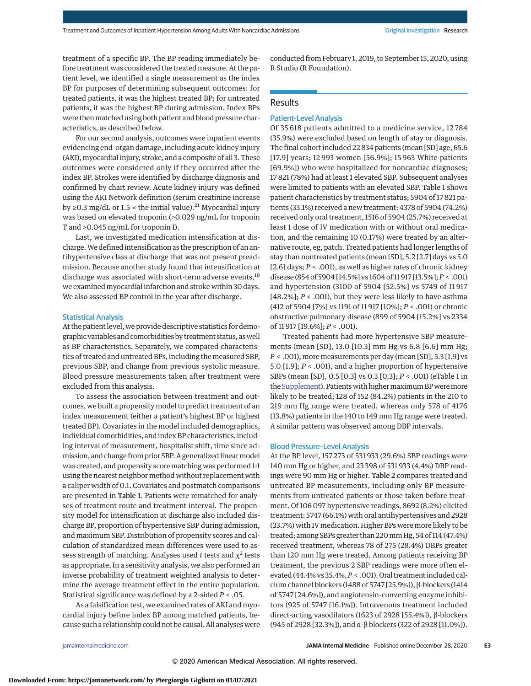treatment of a specific BP. The BP reading immediately before treatment was considered the treated measure. At the patient level, we identified a single measurement as the index BP for purposes of determining subsequent outcomes: for treated patients, it was the highest treated BP; for untreated patients, it was the highest BP during admission. Index BPs were then matched using both patient and blood pressure characteristics, as described below.

For our second analysis, outcomes were inpatient events evidencing end-organ damage, including acute kidney injury (AKI),myocardial injury, stroke, and a composite of all 3. These outcomes were considered only if they occurred after the index BP. Strokes were identified by discharge diagnosis and confirmed by chart review. Acute kidney injury was defined using the AKI Network definition (serum creatinine increase by ≥0.3 mg/dL or 1.5  $\times$  the initial value).<sup>21</sup> Myocardial injury was based on elevated troponin (>0.029 ng/mL for troponin T and >0.045 ng/mL for troponin I).

Last, we investigated medication intensification at discharge.We defined intensification as the prescription of an antihypertensive class at discharge that was not present preadmission. Because another study found that intensification at discharge was associated with short-term adverse events,<sup>18</sup> we examined myocardial infarction and stroke within 30 days. We also assessed BP control in the year after discharge.

#### Statistical Analysis

At the patient level, we provide descriptive statistics for demographic variables and comorbidities by treatment status, aswell as BP characteristics. Separately, we compared characteristics of treated and untreated BPs, including the measured SBP, previous SBP, and change from previous systolic measure. Blood pressure measurements taken after treatment were excluded from this analysis.

To assess the association between treatment and outcomes, we built a propensity model to predict treatment of an index measurement (either a patient's highest BP or highest treated BP). Covariates in the model included demographics, individual comorbidities, and index BP characteristics, including interval of measurement, hospitalist shift, time since admission, and change from prior SBP. A generalized linear model was created, and propensity scorematching was performed 1:1 using the nearest neighbor method without replacement with a caliper width of 0.1. Covariates and postmatch comparisons are presented in Table 1. Patients were rematched for analyses of treatment route and treatment interval. The propensity model for intensification at discharge also included discharge BP, proportion of hypertensive SBP during admission, and maximum SBP. Distribution of propensity scores and calculation of standardized mean differences were used to assess strength of matching. Analyses used *t* tests and  $\chi^2$  tests as appropriate. In a sensitivity analysis, we also performed an inverse probability of treatment weighted analysis to determine the average treatment effect in the entire population. Statistical significance was defined by a 2-sided *P* < .05.

As a falsification test, we examined rates of AKI and myocardial injury before index BP among matched patients, because such a relationship could not be causal. All analyses were conducted from February 1, 2019, to September 15, 2020, using R Studio (R Foundation).

## Results

# Patient-Level Analysis

Of 35 618 patients admitted to a medicine service, 12 784 (35.9%) were excluded based on length of stay or diagnosis. The final cohort included 22 834 patients (mean [SD] age, 65.6 [17.9] years; 12 993 women [56.9%]; 15 963 White patients [69.9%]) who were hospitalized for noncardiac diagnoses; 17 821 (78%) had at least 1 elevated SBP. Subsequent analyses were limited to patients with an elevated SBP. Table 1 shows patient characteristics by treatment status; 5904 of 17 821 patients (33.1%) received a new treatment: 4378 of 5904 (74.2%) received only oral treatment, 1516 of 5904 (25.7%) received at least 1 dose of IV medication with or without oral medication, and the remaining 10 (0.17%) were treated by an alternative route, eg, patch. Treated patients had longer lengths of stay than nontreated patients (mean [SD], 5.2 [2.7] days vs 5.0 [2.6] days; *P* < .001), as well as higher rates of chronic kidney disease (854 of 5904 [14.5%] vs 1604 of 11 917 [13.5%];*P* < .001) and hypertension (3100 of 5904 [52.5%] vs 5749 of 11 917 [48.2%];  $P <$  .001), but they were less likely to have asthma (412 of 5904 [7%] vs 1191 of 11 917 [10%]; *P* < .001) or chronic obstructive pulmonary disease (899 of 5904 [15.2%] vs 2334 of 11 917 [19.6%]; *P* < .001).

Treated patients had more hypertensive SBP measurements (mean [SD], 13.0 [10.3] mm Hg vs 6.8 [6.6] mm Hg; *P* < .001), more measurements per day (mean [SD], 5.3 [1.9] vs 5.0 [1.9]; *P* < .001), and a higher proportion of hypertensive SBPs (mean [SD], 0.5 [0.3] vs 0.3 [0.3]; *P* < .001) (eTable 1 in the [Supplement\)](https://jamanetwork.com/journals/jama/fullarticle/10.1001/jamainternmed.2020.7501?utm_campaign=articlePDF%26utm_medium=articlePDFlink%26utm_source=articlePDF%26utm_content=jamainternmed.2020.7501). Patients with higher maximum BP were more likely to be treated; 128 of 152 (84.2%) patients in the 210 to 219 mm Hg range were treated, whereas only 578 of 4176 (13.8%) patients in the 140 to 149 mm Hg range were treated. A similar pattern was observed among DBP intervals.

#### Blood Pressure–Level Analysis

At the BP level, 157 273 of 531 933 (29.6%) SBP readings were 140 mm Hg or higher, and 23 398 of 531 933 (4.4%) DBP readings were 90 mm Hg or higher. Table 2 compares treated and untreated BP measurements, including only BP measurements from untreated patients or those taken before treatment. Of 106 097 hypertensive readings, 8692 (8.2%) elicited treatment: 5747 (66.1%) with oral antihypertensives and 2928 (33.7%) with IV medication. Higher BPs were more likely to be treated; among SBPs greater than 220mm Hg, 54 of 114 (47.4%) received treatment, whereas 78 of 275 (28.4%) DBPs greater than 120 mm Hg were treated. Among patients receiving BP treatment, the previous 2 SBP readings were more often elevated (44.4% vs 35.4%,*P* < .001). Oral treatment included calcium channel blockers (1488 of 5747 [25.9%]), β-blockers (1414 of 5747 [24.6%]), and angiotensin-converting enzyme inhibitors (925 of 5747 [16.1%]). Intravenous treatment included direct-acting vasodilators (1623 of 2928 [55.4%]), β-blockers (945 of 2928 [32.3%]), and α-β blockers (322 of 2928 [11.0%]).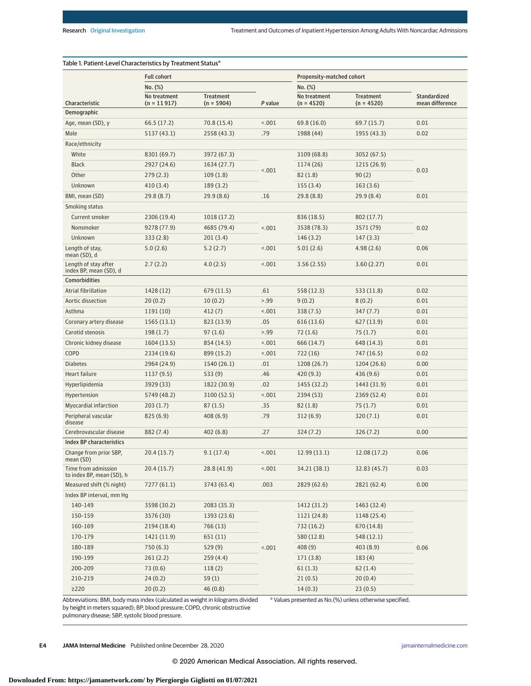|                                                  | <b>Full cohort</b>            |                                  |            | Propensity-matched cohort    |                                  |                                        |
|--------------------------------------------------|-------------------------------|----------------------------------|------------|------------------------------|----------------------------------|----------------------------------------|
|                                                  | No. (%)                       |                                  |            | No. (%)                      |                                  |                                        |
| Characteristic                                   | No treatment<br>$(n = 11917)$ | <b>Treatment</b><br>$(n = 5904)$ | P value    | No treatment<br>$(n = 4520)$ | <b>Treatment</b><br>$(n = 4520)$ | <b>Standardized</b><br>mean difference |
| Demographic                                      |                               |                                  |            |                              |                                  |                                        |
| Age, mean (SD), y                                | 66.5 (17.2)                   | 70.8 (15.4)                      | < .001     | 69.8 (16.0)                  | 69.7 (15.7)                      | 0.01                                   |
| Male                                             | 5137 (43.1)                   | 2558 (43.3)                      | .79        | 1988 (44)                    | 1955 (43.3)                      | 0.02                                   |
| Race/ethnicity                                   |                               |                                  |            |                              |                                  |                                        |
| White                                            | 8301 (69.7)                   | 3972 (67.3)                      |            | 3109 (68.8)                  | 3052 (67.5)                      |                                        |
| <b>Black</b>                                     | 2927 (24.6)                   | 1634 (27.7)                      |            | 1174 (26)                    | 1215 (26.9)                      |                                        |
| Other                                            | 279(2.3)                      | 109(1.8)                         | < .001     | 82(1.8)                      | 90(2)                            | 0.03                                   |
| Unknown                                          | 410 (3.4)                     | 189(3.2)                         |            | 155(3.4)                     | 163(3.6)                         |                                        |
| BMI, mean (SD)                                   | 29.8(8.7)                     | 29.9(8.6)                        | .16        | 29.8 (8.8)                   | 29.9(8.4)                        | 0.01                                   |
| Smoking status                                   |                               |                                  |            |                              |                                  |                                        |
| Current smoker                                   | 2306 (19.4)                   | 1018 (17.2)                      | 836 (18.5) | 802 (17.7)                   |                                  |                                        |
| Nonsmoker                                        | 9278 (77.9)                   | 4685 (79.4)                      | < .001     | 3538 (78.3)                  | 3571 (79)                        | 0.02                                   |
| Unknown                                          | 333(2.8)                      | 201(3.4)                         |            | 146(3.2)                     | 147(3.3)                         |                                        |
| Length of stay,<br>mean (SD), d                  | 5.0(2.6)                      | 5.2(2.7)                         | < .001     | 5.01(2.6)                    | 4.98(2.6)                        | 0.06                                   |
| Length of stay after<br>index BP, mean (SD), d   | 2.7(2.2)                      | 4.0(2.5)                         | < .001     | 3.56(2.55)                   | 3.60(2.27)                       | 0.01                                   |
| <b>Comorbidities</b>                             |                               |                                  |            |                              |                                  |                                        |
| Atrial fibrillation                              | 1428 (12)                     | 679 (11.5)                       | .61        | 558 (12.3)                   | 533 (11.8)                       | 0.02                                   |
| Aortic dissection                                | 20(0.2)                       | 10(0.2)                          | > 0.99     | 9(0.2)                       | 8(0.2)                           | 0.01                                   |
| Asthma                                           | 1191(10)                      | 412(7)                           | < .001     | 338(7.5)                     | 347(7.7)                         | 0.01                                   |
| Coronary artery disease                          | 1565(13.1)                    | 823 (13.9)                       | .05        | 616(13.6)                    | 627 (13.9)                       | 0.01                                   |
| Carotid stenosis                                 | 198(1.7)                      | 97(1.6)                          | > .99      | 72(1.6)                      | 75(1.7)                          | 0.01                                   |
| Chronic kidney disease                           | 1604 (13.5)                   | 854 (14.5)                       | < .001     | 666 (14.7)                   | 648 (14.3)                       | 0.01                                   |
| COPD                                             | 2334 (19.6)                   | 899 (15.2)                       | 1001       | 722(16)                      | 747 (16.5)                       | 0.02                                   |
| <b>Diabetes</b>                                  | 2964 (24.9)                   | 1540 (26.1)                      | .01        | 1208 (26.7)                  | 1204 (26.6)                      | 0.00                                   |
| Heart failure                                    | 1137(9.5)                     | 533(9)                           | .46        | 420 (9.3)                    | 436 (9.6)                        | 0.01                                   |
| Hyperlipidemia                                   | 3929 (33)                     | 1822 (30.9)                      | .02        | 1455 (32.2)                  | 1443 (31.9)                      | 0.01                                   |
| Hypertension                                     | 5749 (48.2)                   | 3100 (52.5)                      | < .001     | 2394 (53)                    | 2369 (52.4)                      | 0.01                                   |
| Myocardial infarction                            | 203(1.7)                      | 87(1.5)                          | .35        | 82(1.8)                      | 75(1.7)                          | 0.01                                   |
| Peripheral vascular<br>disease                   | 825(6.9)                      | 408(6.9)                         | .79        | 312(6.9)                     | 320(7.1)                         | 0.01                                   |
| Cerebrovascular disease                          | 882 (7.4)                     | 402(6.8)                         | .27        | 324(7.2)                     | 326(7.2)                         | 0.00                                   |
| <b>Index BP characteristics</b>                  |                               |                                  |            |                              |                                  |                                        |
| Change from prior SBP,<br>mean (SD)              | 20.4 (15.7)                   | 9.1(17.4)                        | < .001     | 12.99(13.1)                  | 12.08 (17.2)                     | 0.06                                   |
| Time from admission<br>to index BP, mean (SD), h | 20.4(15.7)                    | 28.8(41.9)                       | < .001     | 34.21 (38.1)                 | 32.83 (45.7)                     | 0.03                                   |
| Measured shift (% night)                         | 7277 (61.1)                   | 3743 (63.4)                      | .003       | 2829 (62.6)                  | 2821 (62.4)                      | 0.00                                   |
| Index BP interval, mm Hg                         |                               |                                  |            |                              |                                  |                                        |
| 140-149                                          | 3598 (30.2)                   | 2083 (35.3)                      |            | 1412 (31.2)                  | 1463 (32.4)                      |                                        |
| 150-159                                          | 3576 (30)                     | 1393 (23.6)                      |            | 1121 (24.8)                  | 1148 (25.4)                      |                                        |
| 160-169                                          | 2194 (18.4)                   | 766 (13)                         |            | 732 (16.2)                   | 670 (14.8)                       |                                        |
| 170-179                                          | 1421 (11.9)                   | 651 (11)                         |            | 580 (12.8)                   | 548 (12.1)                       |                                        |
| 180-189                                          | 750 (6.3)                     | 529(9)                           | 1001       | 408(9)                       | 403 (8.9)                        | 0.06                                   |
| 190-199                                          | 261(2.2)                      | 259(4.4)                         |            | 171(3.8)                     | 183(4)                           |                                        |
| 200-209                                          | 73(0.6)                       | 118(2)                           |            | 61(1.3)                      | 62(1.4)                          |                                        |
| 210-219                                          | 24 (0.2)                      | 59(1)                            |            | 21(0.5)                      | 20(0.4)                          |                                        |
| $\geq$ 220                                       | 20(0.2)                       | 46(0.8)                          |            | 14(0.3)                      | 23(0.5)                          |                                        |

Abbreviations: BMI, body mass index (calculated as weight in kilograms divided by height in meters squared); BP, blood pressure; COPD, chronic obstructive pulmonary disease; SBP, systolic blood pressure.

<sup>a</sup> Values presented as No.(%) unless otherwise specified.

**E4 JAMA Internal Medicine** Published online December 28, 2020 **(Reprinted)** [jamainternalmedicine.com](http://www.jamainternalmedicine.com?utm_campaign=articlePDF%26utm_medium=articlePDFlink%26utm_source=articlePDF%26utm_content=jamainternmed.2020.7501)

© 2020 American Medical Association. All rights reserved.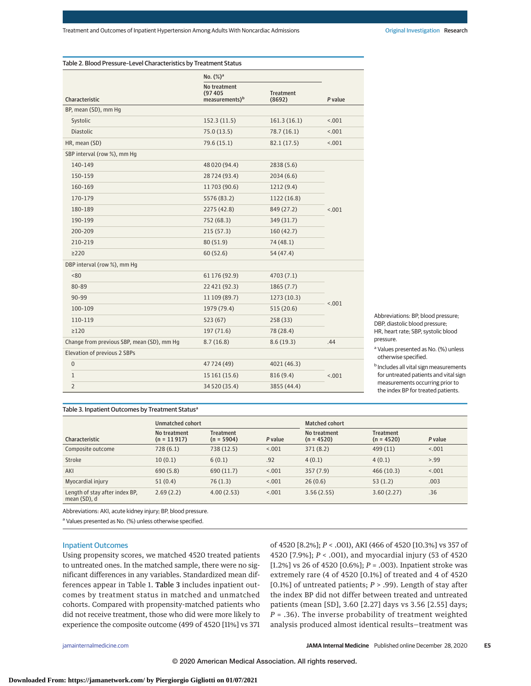|                                            | No. $(\%)^a$                                          |                            |         |  |
|--------------------------------------------|-------------------------------------------------------|----------------------------|---------|--|
| Characteristic                             | No treatment<br>(97405)<br>measurements) <sup>b</sup> | <b>Treatment</b><br>(8692) | P value |  |
| BP, mean (SD), mm Hg                       |                                                       |                            |         |  |
| Systolic                                   | 152.3(11.5)                                           | 161.3(16.1)                | < .001  |  |
| Diastolic                                  | 75.0(13.5)                                            | 78.7(16.1)                 | 1001    |  |
| HR, mean (SD)                              | 79.6 (15.1)                                           | 82.1(17.5)                 | < .001  |  |
| SBP interval (row %), mm Hg                |                                                       |                            |         |  |
| 140-149                                    | 48 020 (94.4)                                         | 2838 (5.6)                 |         |  |
| 150-159                                    | 28724 (93.4)                                          | 2034(6.6)                  |         |  |
| 160-169                                    | 11703 (90.6)                                          | 1212(9.4)                  |         |  |
| 170-179                                    | 5576 (83.2)                                           | 1122 (16.8)                | < .001  |  |
| 180-189                                    | 2275 (42.8)                                           | 849 (27.2)                 |         |  |
| 190-199                                    | 752 (68.3)                                            | 349 (31.7)                 |         |  |
| 200-209                                    | 215(57.3)                                             | 160(42.7)                  |         |  |
| 210-219                                    | 80(51.9)                                              | 74 (48.1)                  |         |  |
| $\geq$ 220                                 | 60(52.6)                                              | 54 (47.4)                  |         |  |
| DBP interval (row %), mm Hg                |                                                       |                            |         |  |
| <80                                        | 61 176 (92.9)                                         | 4703 (7.1)                 |         |  |
| 80-89                                      | 22 421 (92.3)                                         | 1865(7.7)                  |         |  |
| 90-99                                      | 11 109 (89.7)                                         | 1273(10.3)                 |         |  |
| 100-109                                    | 1979 (79.4)                                           | 515(20.6)                  | < .001  |  |
| 110-119                                    | 523(67)                                               | 258 (33)                   |         |  |
| $\geq$ 120                                 | 197 (71.6)                                            | 78 (28.4)                  |         |  |
| Change from previous SBP, mean (SD), mm Hg | 8.7(16.8)                                             | 8.6(19.3)                  | .44     |  |
| Elevation of previous 2 SBPs               |                                                       |                            |         |  |
| $\mathbf 0$                                | 47724 (49)                                            | 4021 (46.3)                |         |  |
| $\mathbf{1}$                               | 15 161 (15.6)                                         | 816 (9.4)                  | < .001  |  |
| $\overline{2}$                             | 34 520 (35.4)                                         | 3855 (44.4)                |         |  |

Abbreviations: BP, blood pressure; DBP, diastolic blood pressure; HR, heart rate; SBP, systolic blood pressure.

<sup>a</sup> Values presented as No. (%) unless otherwise specified.

**b** Includes all vital sign measurements for untreated patients and vital sign measurements occurring prior to the index BP for treated patients.

## Table 3. Inpatient Outcomes by Treatment Status<sup>a</sup>

|                                                | Unmatched cohort              |                                  |         | <b>Matched cohort</b>        |                                  |         |
|------------------------------------------------|-------------------------------|----------------------------------|---------|------------------------------|----------------------------------|---------|
| Characteristic                                 | No treatment<br>$(n = 11917)$ | <b>Treatment</b><br>$(n = 5904)$ | P value | No treatment<br>$(n = 4520)$ | <b>Treatment</b><br>$(n = 4520)$ | P value |
| Composite outcome                              | 728(6.1)                      | 738 (12.5)                       | < 0.001 | 371(8.2)                     | 499(11)                          | < 0.01  |
| Stroke                                         | 10(0.1)                       | 6(0.1)                           | .92     | 4(0.1)                       | 4(0.1)                           | > 99    |
| AKI                                            | 690(5.8)                      | 690(11.7)                        | < 0.001 | 357(7.9)                     | 466(10.3)                        | < 0.01  |
| Myocardial injury                              | 51(0.4)                       | 76(1.3)                          | < 0.001 | 26(0.6)                      | 53(1.2)                          | .003    |
| Length of stay after index BP,<br>mean (SD), d | 2.69(2.2)                     | 4.00(2.53)                       | < 0.001 | 3.56(2.55)                   | 3.60(2.27)                       | .36     |

Abbreviations: AKI, acute kidney injury; BP, blood pressure.

<sup>a</sup> Values presented as No. (%) unless otherwise specified.

#### Inpatient Outcomes

Using propensity scores, we matched 4520 treated patients to untreated ones. In the matched sample, there were no significant differences in any variables. Standardized mean differences appear in Table 1. Table 3 includes inpatient outcomes by treatment status in matched and unmatched cohorts. Compared with propensity-matched patients who did not receive treatment, those who did were more likely to experience the composite outcome (499 of 4520 [11%] vs 371

of 4520 [8.2%]; *P* < .001), AKI (466 of 4520 [10.3%] vs 357 of 4520 [7.9%]; *P* < .001), and myocardial injury (53 of 4520 [1.2%] vs 26 of 4520 [0.6%]; *P* = .003). Inpatient stroke was extremely rare (4 of 4520 [0.1%] of treated and 4 of 4520 [0.1%] of untreated patients; *P* > .99). Length of stay after the index BP did not differ between treated and untreated patients (mean [SD], 3.60 [2.27] days vs 3.56 [2.55] days; *P* = .36). The inverse probability of treatment weighted analysis produced almost identical results—treatment was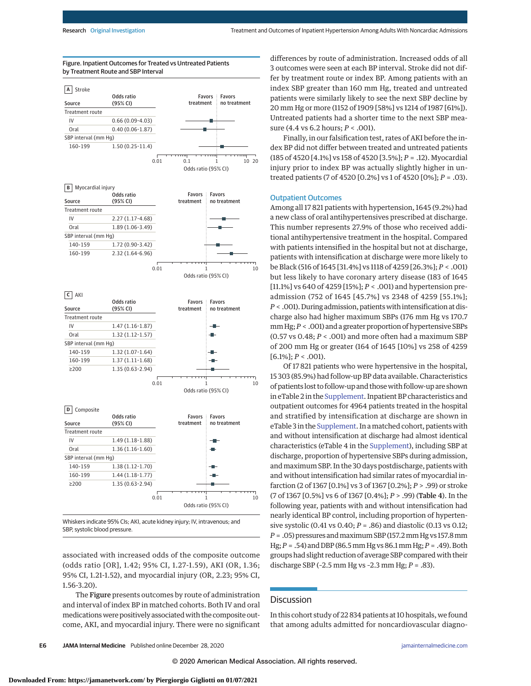by Treatment Route and SBP Interval



Figure. Inpatient Outcomes for Treated vs Untreated Patients

 $0.01$  1 10 Odds ratio (95% CI)

**C** AKI

| Source               | Odds ratio<br>(95% CI) | <b>Favors</b><br>treatment | <b>Favors</b><br>no treatment |
|----------------------|------------------------|----------------------------|-------------------------------|
| Treatment route      |                        |                            |                               |
| IV                   | $1.47(1.16-1.87)$      |                            |                               |
| Oral                 | $1.32(1.12-1.57)$      |                            | - -                           |
| SBP interval (mm Hq) |                        |                            |                               |
| 140-159              | $1.32(1.07-1.64)$      |                            | ╍                             |
| 160-199              | $1.37(1.11-1.68)$      |                            |                               |
| >200                 | $1.35(0.63 - 2.94)$    |                            |                               |
|                      |                        |                            |                               |
|                      |                        | 0.01                       | 10                            |
|                      |                        |                            | Odds ratio (95% CI)           |

**D** Composite



Whiskers indicate 95% CIs; AKI, acute kidney injury; IV, intravenous; and SBP, systolic blood pressure.

associated with increased odds of the composite outcome (odds ratio [OR], 1.42; 95% CI, 1.27-1.59), AKI (OR, 1.36; 95% CI, 1.21-1.52), and myocardial injury (OR, 2.23; 95% CI, 1.56-3.20).

The Figure presents outcomes by route of administration and interval of index BP in matched cohorts. Both IV and oral medications were positively associated with the composite outcome, AKI, and myocardial injury. There were no significant differences by route of administration. Increased odds of all 3 outcomes were seen at each BP interval. Stroke did not differ by treatment route or index BP. Among patients with an index SBP greater than 160 mm Hg, treated and untreated patients were similarly likely to see the next SBP decline by 20 mm Hg or more (1152 of 1909 [58%] vs 1214 of 1987 [61%]). Untreated patients had a shorter time to the next SBP measure (4.4 vs 6.2 hours; *P* < .001).

Finally, in our falsification test, rates of AKI before the index BP did not differ between treated and untreated patients (185 of 4520 [4.1%] vs 158 of 4520 [3.5%]; *P* = .12). Myocardial injury prior to index BP was actually slightly higher in untreated patients (7 of 4520 [0.2%] vs 1 of 4520 [0%]; *P* = .03).

#### Outpatient Outcomes

Among all 17 821 patients with hypertension, 1645 (9.2%) had a new class of oral antihypertensives prescribed at discharge. This number represents 27.9% of those who received additional antihypertensive treatment in the hospital. Compared with patients intensified in the hospital but not at discharge, patients with intensification at discharge were more likely to be Black (516 of 1645 [31.4%] vs 1118 of 4259 [26.3%]; *P* < .001) but less likely to have coronary artery disease (183 of 1645 [11.1%] vs 640 of 4259 [15%]; *P* < .001) and hypertension preadmission (752 of 1645 [45.7%] vs 2348 of 4259 [55.1%]; *P* < .001). During admission, patientswith intensification at discharge also had higher maximum SBPs (176 mm Hg vs 170.7 mm Hg;*P* < .001) and a greater proportion of hypertensive SBPs (0.57 vs 0.48; *P* < .001) and more often had a maximum SBP of 200 mm Hg or greater (164 of 1645 [10%] vs 258 of 4259  $[6.1\%]; P < .001$ ).

Of 17 821 patients who were hypertensive in the hospital, 15 303 (85.9%) had follow-up BP data available. Characteristics of patients lost to follow-up and thosewith follow-up are shown in eTable 2 in the [Supplement.](https://jamanetwork.com/journals/jama/fullarticle/10.1001/jamainternmed.2020.7501?utm_campaign=articlePDF%26utm_medium=articlePDFlink%26utm_source=articlePDF%26utm_content=jamainternmed.2020.7501) Inpatient BP characteristics and outpatient outcomes for 4964 patients treated in the hospital and stratified by intensification at discharge are shown in eTable 3 in the [Supplement.](https://jamanetwork.com/journals/jama/fullarticle/10.1001/jamainternmed.2020.7501?utm_campaign=articlePDF%26utm_medium=articlePDFlink%26utm_source=articlePDF%26utm_content=jamainternmed.2020.7501) In amatched cohort, patients with and without intensification at discharge had almost identical characteristics (eTable 4 in the [Supplement\)](https://jamanetwork.com/journals/jama/fullarticle/10.1001/jamainternmed.2020.7501?utm_campaign=articlePDF%26utm_medium=articlePDFlink%26utm_source=articlePDF%26utm_content=jamainternmed.2020.7501), including SBP at discharge, proportion of hypertensive SBPs during admission, and maximum SBP. In the 30 days postdischarge, patients with and without intensification had similar rates of myocardial infarction (2 of 1367 [0.1%] vs 3 of 1367 [0.2%]; *P* > .99) or stroke (7 of 1367 [0.5%] vs 6 of 1367 [0.4%]; *P* > .99) (Table 4). In the following year, patients with and without intensification had nearly identical BP control, including proportion of hypertensive systolic (0.41 vs 0.40; *P* = .86) and diastolic (0.13 vs 0.12; *P* = .05) pressures andmaximum SBP (157.2mm Hg vs 157.8mm Hg;*P* = .54) and DBP (86.5mm Hg vs 86.1mm Hg;*P* = .49). Both groups had slight reduction of average SBP compared with their discharge SBP (–2.5 mm Hg vs –2.3 mm Hg; *P* = .83).

# **Discussion**

In this cohort study of 22 834 patients at 10 hospitals, we found that among adults admitted for noncardiovascular diagno-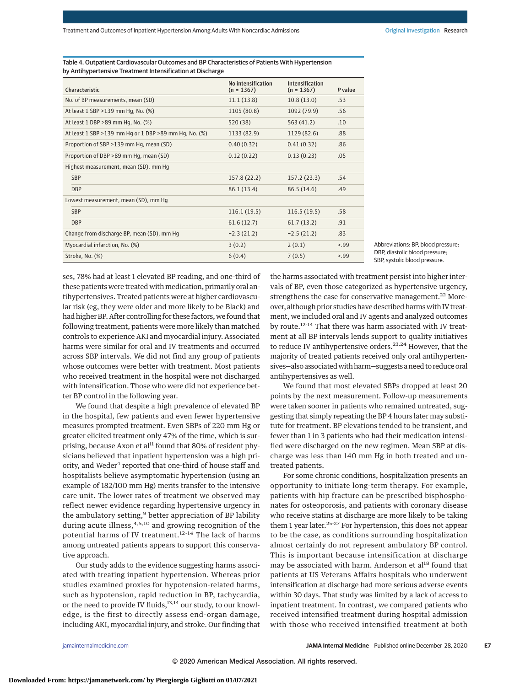| Characteristic                                          | No intensification<br>$(n = 1367)$ | Intensification<br>$(n = 1367)$ | P value |
|---------------------------------------------------------|------------------------------------|---------------------------------|---------|
| No. of BP measurements, mean (SD)                       | 11.1(13.8)                         | 10.8(13.0)                      | .53     |
| At least 1 SBP > 139 mm Hg, No. (%)                     | 1105 (80.8)                        | 1092 (79.9)                     | .56     |
| At least 1 DBP >89 mm Hg, No. (%)                       | 520 (38)                           | 563 (41.2)                      | .10     |
| At least 1 SBP > 139 mm Hg or 1 DBP > 89 mm Hg, No. (%) | 1133 (82.9)                        | 1129 (82.6)                     | .88     |
| Proportion of SBP >139 mm Hq, mean (SD)                 | 0.40(0.32)                         | 0.41(0.32)                      | .86     |
| Proportion of DBP >89 mm Hg, mean (SD)                  | 0.12(0.22)                         | 0.13(0.23)                      | .05     |
| Highest measurement, mean (SD), mm Hq                   |                                    |                                 |         |
| <b>SBP</b>                                              | 157.8 (22.2)                       | 157.2(23.3)                     | .54     |
| <b>DBP</b>                                              | 86.1 (13.4)                        | 86.5(14.6)                      | .49     |
| Lowest measurement, mean (SD), mm Hg                    |                                    |                                 |         |
| <b>SBP</b>                                              | 116.1(19.5)                        | 116.5(19.5)                     | .58     |
| <b>DBP</b>                                              | 61.6(12.7)                         | 61.7(13.2)                      | .91     |
| Change from discharge BP, mean (SD), mm Hg              | $-2.3(21.2)$                       | $-2.5(21.2)$                    | .83     |
| Myocardial infarction, No. (%)                          | 3(0.2)                             | 2(0.1)                          | > .99   |
| Stroke, No. (%)                                         | 6(0.4)                             | 7(0.5)                          | > 0.99  |

Table 4. Outpatient Cardiovascular Outcomes and BP Characteristics of Patients With Hypertension by Antihypertensive Treatment Intensification at Discharge

Abbreviations: BP, blood pressure; DBP, diastolic blood pressure; SBP, systolic blood pressure.

ses, 78% had at least 1 elevated BP reading, and one-third of these patients were treated with medication, primarily oral antihypertensives. Treated patients were at higher cardiovascular risk (eg, they were older and more likely to be Black) and had higher BP. After controlling for these factors, we found that following treatment, patients were more likely than matched controls to experience AKI and myocardial injury. Associated harms were similar for oral and IV treatments and occurred across SBP intervals. We did not find any group of patients whose outcomes were better with treatment. Most patients who received treatment in the hospital were not discharged with intensification. Those who were did not experience better BP control in the following year.

We found that despite a high prevalence of elevated BP in the hospital, few patients and even fewer hypertensive measures prompted treatment. Even SBPs of 220 mm Hg or greater elicited treatment only 47% of the time, which is surprising, because Axon et al<sup>11</sup> found that 80% of resident physicians believed that inpatient hypertension was a high priority, and Weder<sup>4</sup> reported that one-third of house staff and hospitalists believe asymptomatic hypertension (using an example of 182/100 mm Hg) merits transfer to the intensive care unit. The lower rates of treatment we observed may reflect newer evidence regarding hypertensive urgency in the ambulatory setting,<sup>9</sup> better appreciation of BP lability during acute illness,  $4,5,10$  and growing recognition of the potential harms of IV treatment.<sup>12-14</sup> The lack of harms among untreated patients appears to support this conservative approach.

Our study adds to the evidence suggesting harms associated with treating inpatient hypertension. Whereas prior studies examined proxies for hypotension-related harms, such as hypotension, rapid reduction in BP, tachycardia, or the need to provide IV fluids,<sup>13,14</sup> our study, to our knowledge, is the first to directly assess end-organ damage, including AKI, myocardial injury, and stroke. Our finding that the harms associated with treatment persist into higher intervals of BP, even those categorized as hypertensive urgency, strengthens the case for conservative management.<sup>22</sup> Moreover, although prior studies have described harms with IV treatment, we included oral and IV agents and analyzed outcomes by route.12-14 That there was harm associated with IV treatment at all BP intervals lends support to quality initiatives to reduce IV antihypertensive orders.<sup>23,24</sup> However, that the majority of treated patients received only oral antihypertensives—also associatedwith harm—suggests a need to reduce oral antihypertensives as well.

We found that most elevated SBPs dropped at least 20 points by the next measurement. Follow-up measurements were taken sooner in patients who remained untreated, suggesting that simply repeating the BP 4 hours later may substitute for treatment. BP elevations tended to be transient, and fewer than 1 in 3 patients who had their medication intensified were discharged on the new regimen. Mean SBP at discharge was less than 140 mm Hg in both treated and untreated patients.

For some chronic conditions, hospitalization presents an opportunity to initiate long-term therapy. For example, patients with hip fracture can be prescribed bisphosphonates for osteoporosis, and patients with coronary disease who receive statins at discharge are more likely to be taking them 1 year later.<sup>25-27</sup> For hypertension, this does not appear to be the case, as conditions surrounding hospitalization almost certainly do not represent ambulatory BP control. This is important because intensification at discharge may be associated with harm. Anderson et al<sup>18</sup> found that patients at US Veterans Affairs hospitals who underwent intensification at discharge had more serious adverse events within 30 days. That study was limited by a lack of access to inpatient treatment. In contrast, we compared patients who received intensified treatment during hospital admission with those who received intensified treatment at both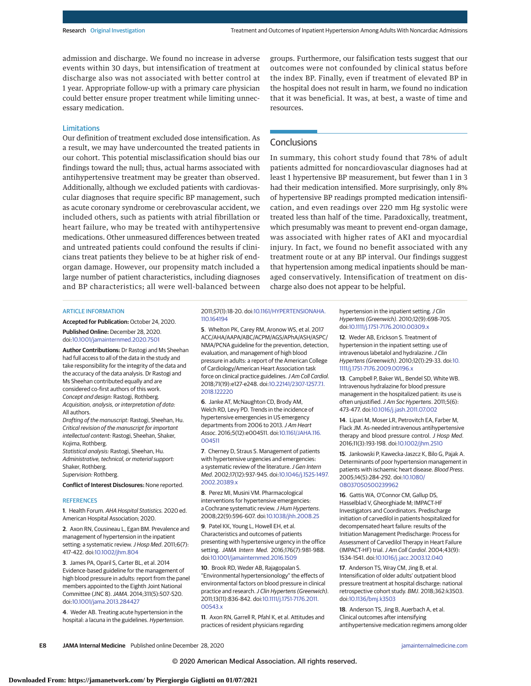admission and discharge. We found no increase in adverse events within 30 days, but intensification of treatment at discharge also was not associated with better control at 1 year. Appropriate follow-up with a primary care physician could better ensure proper treatment while limiting unnecessary medication.

# **Limitations**

Our definition of treatment excluded dose intensification. As a result, we may have undercounted the treated patients in our cohort. This potential misclassification should bias our findings toward the null; thus, actual harms associated with antihypertensive treatment may be greater than observed. Additionally, although we excluded patients with cardiovascular diagnoses that require specific BP management, such as acute coronary syndrome or cerebrovascular accident, we included others, such as patients with atrial fibrillation or heart failure, who may be treated with antihypertensive medications. Other unmeasured differences between treated and untreated patients could confound the results if clinicians treat patients they believe to be at higher risk of endorgan damage. However, our propensity match included a large number of patient characteristics, including diagnoses and BP characteristics; all were well-balanced between

groups. Furthermore, our falsification tests suggest that our outcomes were not confounded by clinical status before the index BP. Finally, even if treatment of elevated BP in the hospital does not result in harm, we found no indication that it was beneficial. It was, at best, a waste of time and resources.

# **Conclusions**

In summary, this cohort study found that 78% of adult patients admitted for noncardiovascular diagnoses had at least 1 hypertensive BP measurement, but fewer than 1 in 3 had their medication intensified. More surprisingly, only 8% of hypertensive BP readings prompted medication intensification, and even readings over 220 mm Hg systolic were treated less than half of the time. Paradoxically, treatment, which presumably was meant to prevent end-organ damage, was associated with higher rates of AKI and myocardial injury. In fact, we found no benefit associated with any treatment route or at any BP interval. Our findings suggest that hypertension among medical inpatients should be managed conservatively. Intensification of treatment on discharge also does not appear to be helpful.

#### ARTICLE INFORMATION

**Accepted for Publication:** October 24, 2020. **Published Online:** December 28, 2020. doi[:10.1001/jamainternmed.2020.7501](https://jamanetwork.com/journals/jama/fullarticle/10.1001/jamainternmed.2020.7501?utm_campaign=articlePDF%26utm_medium=articlePDFlink%26utm_source=articlePDF%26utm_content=jamainternmed.2020.7501)

**Author Contributions:** Dr Rastogi and Ms Sheehan had full access to all of the data in the study and take responsibility for the integrity of the data and the accuracy of the data analysis. Dr Rastogi and Ms Sheehan contributed equally and are considered co-first authors of this work. Concept and design: Rastogi, Rothberg. Acquisition, analysis, or interpretation of data: All authors.

Drafting of the manuscript: Rastogi, Sheehan, Hu. Critical revision of the manuscript for important intellectual content: Rastogi, Sheehan, Shaker, Kojima, Rothberg.

Statistical analysis: Rastogi, Sheehan, Hu. Administrative, technical, or material support: Shaker, Rothberg. Supervision: Rothberg.

**Conflict of Interest Disclosures:** None reported.

#### **REFERENCES**

**1**. Health Forum. AHA Hospital Statistics. 2020 ed. American Hospital Association; 2020.

**2**. Axon RN, Cousineau L, Egan BM. Prevalence and management of hypertension in the inpatient setting: a systematic review. J Hosp Med. 2011;6(7): 417-422. doi[:10.1002/jhm.804](https://dx.doi.org/10.1002/jhm.804)

**3**. James PA, Oparil S, Carter BL, et al. 2014 Evidence-based guideline for the management of high blood pressure in adults: report from the panel members appointed to the Eighth Joint National Committee (JNC 8).JAMA. 2014;311(5):507-520. doi[:10.1001/jama.2013.284427](https://jamanetwork.com/journals/jama/fullarticle/10.1001/jama.2013.284427?utm_campaign=articlePDF%26utm_medium=articlePDFlink%26utm_source=articlePDF%26utm_content=jamainternmed.2020.7501)

**4**. Weder AB. Treating acute hypertension in the hospital: a lacuna in the guidelines. Hypertension. 2011;57(1):18-20. doi[:10.1161/HYPERTENSIONAHA.](https://dx.doi.org/10.1161/HYPERTENSIONAHA.110.164194) [110.164194](https://dx.doi.org/10.1161/HYPERTENSIONAHA.110.164194)

**5**. Whelton PK, Carey RM, Aronow WS, et al. 2017 ACC/AHA/AAPA/ABC/ACPM/AGS/APhA/ASH/ASPC/ NMA/PCNA guideline for the prevention, detection, evaluation, and management of high blood pressure in adults: a report of the American College of Cardiology/American Heart Association task force on clinical practice guidelines. J Am Coll Cardiol. 2018;71(19):e127-e248. doi[:10.22141/2307-1257.7.1.](https://dx.doi.org/10.22141/2307-1257.7.1.2018.122220) [2018.122220](https://dx.doi.org/10.22141/2307-1257.7.1.2018.122220)

**6**. Janke AT, McNaughton CD, Brody AM, Welch RD, Levy PD. Trends in the incidence of hypertensive emergencies in US emergency departments from 2006 to 2013. J Am Heart Assoc. 2016;5(12):e004511. doi[:10.1161/JAHA.116.](https://dx.doi.org/10.1161/JAHA.116.004511) [004511](https://dx.doi.org/10.1161/JAHA.116.004511)

**7**. Cherney D, Straus S. Management of patients with hypertensive urgencies and emergencies: a systematic review of the literature. J Gen Intern Med. 2002;17(12):937-945. doi[:10.1046/j.1525-1497.](https://dx.doi.org/10.1046/j.1525-1497.2002.20389.x) [2002.20389.x](https://dx.doi.org/10.1046/j.1525-1497.2002.20389.x)

**8**. Perez MI, Musini VM. Pharmacological interventions for hypertensive emergencies: a Cochrane systematic review. J Hum Hypertens. 2008;22(9):596-607. doi[:10.1038/jhh.2008.25](https://dx.doi.org/10.1038/jhh.2008.25)

**9**. Patel KK, Young L, Howell EH, et al. Characteristics and outcomes of patients presenting with hypertensive urgency in the office setting. JAMA Intern Med. 2016;176(7):981-988. doi[:10.1001/jamainternmed.2016.1509](https://jamanetwork.com/journals/jama/fullarticle/10.1001/jamainternmed.2016.1509?utm_campaign=articlePDF%26utm_medium=articlePDFlink%26utm_source=articlePDF%26utm_content=jamainternmed.2020.7501)

**10**. Brook RD, Weder AB, Rajagopalan S. "Environmental hypertensionology" the effects of environmental factors on blood pressure in clinical practice and research. J Clin Hypertens (Greenwich). 2011;13(11):836-842. doi[:10.1111/j.1751-7176.2011.](https://dx.doi.org/10.1111/j.1751-7176.2011.00543.x) [00543.x](https://dx.doi.org/10.1111/j.1751-7176.2011.00543.x)

**11**. Axon RN, Garrell R, Pfahl K, et al. Attitudes and practices of resident physicians regarding

hypertension in the inpatient setting. J Clin Hypertens (Greenwich). 2010;12(9):698-705. doi[:10.1111/j.1751-7176.2010.00309.x](https://dx.doi.org/10.1111/j.1751-7176.2010.00309.x)

**12**. Weder AB, Erickson S. Treatment of hypertension in the inpatient setting: use of intravenous labetalol and hydralazine. J Clin Hypertens (Greenwich). 2010;12(1):29-33. doi[:10.](https://dx.doi.org/10.1111/j.1751-7176.2009.00196.x) [1111/j.1751-7176.2009.00196.x](https://dx.doi.org/10.1111/j.1751-7176.2009.00196.x)

**13**. Campbell P, Baker WL, Bendel SD, White WB. Intravenous hydralazine for blood pressure management in the hospitalized patient: its use is often unjustified. J Am Soc Hypertens. 2011;5(6): 473-477. doi[:10.1016/j.jash.2011.07.002](https://dx.doi.org/10.1016/j.jash.2011.07.002)

**14**. Lipari M, Moser LR, Petrovitch EA, Farber M, Flack JM. As-needed intravenous antihypertensive therapy and blood pressure control. J Hosp Med. 2016;11(3):193-198. doi[:10.1002/jhm.2510](https://dx.doi.org/10.1002/jhm.2510)

**15**. Jankowski P, Kawecka-Jaszcz K, Bilo G, Pajak A. Determinants of poor hypertension management in patients with ischaemic heart disease. Blood Press. 2005;14(5):284-292. doi[:10.1080/](https://dx.doi.org/10.1080/08037050500239962) [08037050500239962](https://dx.doi.org/10.1080/08037050500239962)

**16**. Gattis WA, O'Connor CM, Gallup DS, Hasselblad V, Gheorghiade M; IMPACT-HF Investigators and Coordinators. Predischarge initiation of carvedilol in patients hospitalized for decompensated heart failure: results of the Initiation Management Predischarge: Process for Assessment of Carvedilol Therapy in Heart Failure (IMPACT-HF) trial.J Am Coll Cardiol. 2004;43(9): 1534-1541. doi[:10.1016/j.jacc.2003.12.040](https://dx.doi.org/10.1016/j.jacc.2003.12.040)

**17**. Anderson TS, Wray CM, Jing B, et al. Intensification of older adults' outpatient blood pressure treatment at hospital discharge: national retrospective cohort study. BMJ. 2018;362:k3503. doi[:10.1136/bmj.k3503](https://dx.doi.org/10.1136/bmj.k3503)

**18**. Anderson TS, Jing B, Auerbach A, et al. Clinical outcomes after intensifying antihypertensive medication regimens among older

**E8 JAMA Internal Medicine** Published online December 28, 2020 **(Reprinted)** [jamainternalmedicine.com](http://www.jamainternalmedicine.com?utm_campaign=articlePDF%26utm_medium=articlePDFlink%26utm_source=articlePDF%26utm_content=jamainternmed.2020.7501)

© 2020 American Medical Association. All rights reserved.